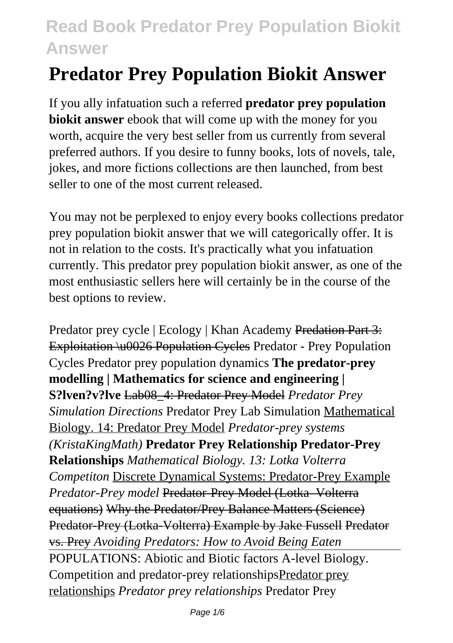# **Predator Prey Population Biokit Answer**

If you ally infatuation such a referred **predator prey population biokit answer** ebook that will come up with the money for you worth, acquire the very best seller from us currently from several preferred authors. If you desire to funny books, lots of novels, tale, jokes, and more fictions collections are then launched, from best seller to one of the most current released.

You may not be perplexed to enjoy every books collections predator prey population biokit answer that we will categorically offer. It is not in relation to the costs. It's practically what you infatuation currently. This predator prey population biokit answer, as one of the most enthusiastic sellers here will certainly be in the course of the best options to review.

Predator prey cycle | Ecology | Khan Academy Predation Part 3: Exploitation \u0026 Population Cycles Predator - Prey Population Cycles Predator prey population dynamics **The predator-prey modelling | Mathematics for science and engineering | S?lven?v?lve** Lab08\_4: Predator Prey Model *Predator Prey Simulation Directions* Predator Prey Lab Simulation Mathematical Biology. 14: Predator Prey Model *Predator-prey systems (KristaKingMath)* **Predator Prey Relationship Predator-Prey Relationships** *Mathematical Biology. 13: Lotka Volterra Competiton* Discrete Dynamical Systems: Predator-Prey Example *Predator-Prey model* Predator-Prey Model (Lotka–Volterra equations) Why the Predator/Prey Balance Matters (Science) Predator-Prey (Lotka-Volterra) Example by Jake Fussell Predator vs. Prey *Avoiding Predators: How to Avoid Being Eaten* POPULATIONS: Abiotic and Biotic factors A-level Biology. Competition and predator-prey relationshipsPredator prey relationships *Predator prey relationships* Predator Prey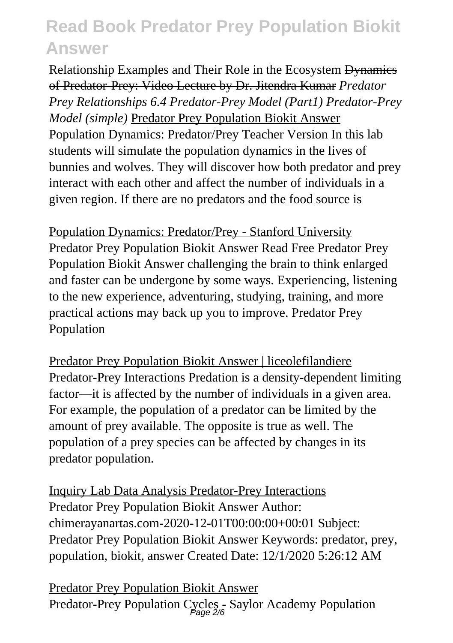Relationship Examples and Their Role in the Ecosystem Dynamics of Predator-Prey: Video Lecture by Dr. Jitendra Kumar *Predator Prey Relationships 6.4 Predator-Prey Model (Part1) Predator-Prey Model (simple)* Predator Prey Population Biokit Answer Population Dynamics: Predator/Prey Teacher Version In this lab students will simulate the population dynamics in the lives of bunnies and wolves. They will discover how both predator and prey interact with each other and affect the number of individuals in a given region. If there are no predators and the food source is

Population Dynamics: Predator/Prey - Stanford University Predator Prey Population Biokit Answer Read Free Predator Prey Population Biokit Answer challenging the brain to think enlarged and faster can be undergone by some ways. Experiencing, listening to the new experience, adventuring, studying, training, and more practical actions may back up you to improve. Predator Prey Population

Predator Prey Population Biokit Answer | liceolefilandiere Predator-Prey Interactions Predation is a density-dependent limiting factor—it is affected by the number of individuals in a given area. For example, the population of a predator can be limited by the amount of prey available. The opposite is true as well. The population of a prey species can be affected by changes in its predator population.

Inquiry Lab Data Analysis Predator-Prey Interactions Predator Prey Population Biokit Answer Author: chimerayanartas.com-2020-12-01T00:00:00+00:01 Subject: Predator Prey Population Biokit Answer Keywords: predator, prey, population, biokit, answer Created Date: 12/1/2020 5:26:12 AM

Predator Prey Population Biokit Answer Predator-Prey Population Cycles - Saylor Academy Population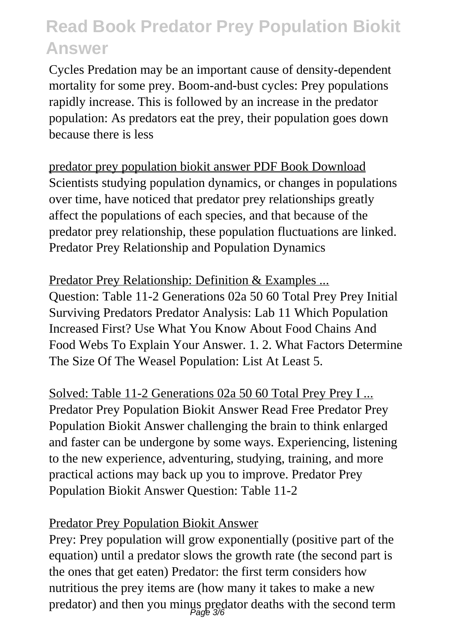Cycles Predation may be an important cause of density-dependent mortality for some prey. Boom-and-bust cycles: Prey populations rapidly increase. This is followed by an increase in the predator population: As predators eat the prey, their population goes down because there is less

predator prey population biokit answer PDF Book Download Scientists studying population dynamics, or changes in populations over time, have noticed that predator prey relationships greatly affect the populations of each species, and that because of the predator prey relationship, these population fluctuations are linked. Predator Prey Relationship and Population Dynamics

Predator Prey Relationship: Definition & Examples ... Question: Table 11-2 Generations 02a 50 60 Total Prey Prey Initial Surviving Predators Predator Analysis: Lab 11 Which Population Increased First? Use What You Know About Food Chains And Food Webs To Explain Your Answer. 1. 2. What Factors Determine The Size Of The Weasel Population: List At Least 5.

Solved: Table 11-2 Generations 02a 50 60 Total Prey Prey I ... Predator Prey Population Biokit Answer Read Free Predator Prey Population Biokit Answer challenging the brain to think enlarged and faster can be undergone by some ways. Experiencing, listening to the new experience, adventuring, studying, training, and more practical actions may back up you to improve. Predator Prey Population Biokit Answer Question: Table 11-2

#### Predator Prey Population Biokit Answer

Prey: Prey population will grow exponentially (positive part of the equation) until a predator slows the growth rate (the second part is the ones that get eaten) Predator: the first term considers how nutritious the prey items are (how many it takes to make a new predator) and then you minus predator deaths with the second term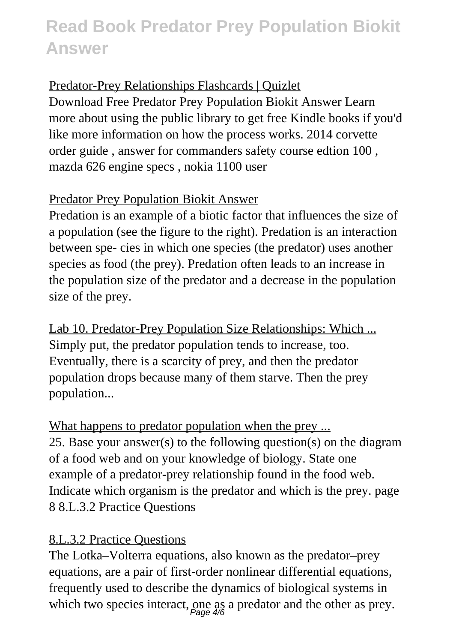#### Predator-Prey Relationships Flashcards | Quizlet

Download Free Predator Prey Population Biokit Answer Learn more about using the public library to get free Kindle books if you'd like more information on how the process works. 2014 corvette order guide , answer for commanders safety course edtion 100 , mazda 626 engine specs , nokia 1100 user

#### Predator Prey Population Biokit Answer

Predation is an example of a biotic factor that influences the size of a population (see the figure to the right). Predation is an interaction between spe- cies in which one species (the predator) uses another species as food (the prey). Predation often leads to an increase in the population size of the predator and a decrease in the population size of the prey.

Lab 10. Predator-Prey Population Size Relationships: Which ... Simply put, the predator population tends to increase, too. Eventually, there is a scarcity of prey, and then the predator population drops because many of them starve. Then the prey population...

What happens to predator population when the prey ... 25. Base your answer(s) to the following question(s) on the diagram of a food web and on your knowledge of biology. State one example of a predator-prey relationship found in the food web. Indicate which organism is the predator and which is the prey. page 8 8.L.3.2 Practice Questions

#### 8.L.3.2 Practice Questions

The Lotka–Volterra equations, also known as the predator–prey equations, are a pair of first-order nonlinear differential equations, frequently used to describe the dynamics of biological systems in which two species interact, one as a predator and the other as prey.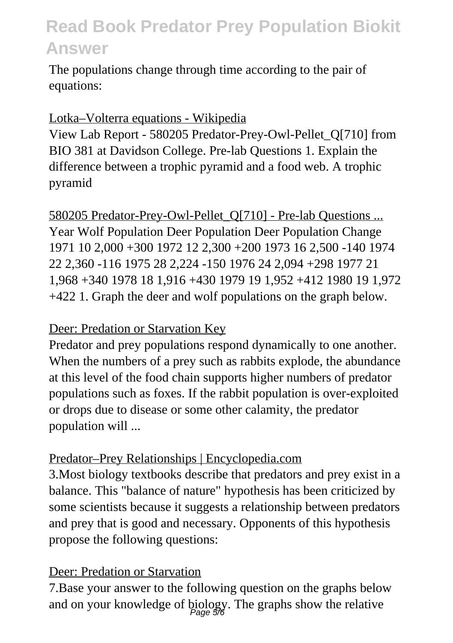The populations change through time according to the pair of equations:

#### Lotka–Volterra equations - Wikipedia

View Lab Report - 580205 Predator-Prey-Owl-Pellet\_Q[710] from BIO 381 at Davidson College. Pre-lab Questions 1. Explain the difference between a trophic pyramid and a food web. A trophic pyramid

580205 Predator-Prey-Owl-Pellet Q[710] - Pre-lab Questions ... Year Wolf Population Deer Population Deer Population Change 1971 10 2,000 +300 1972 12 2,300 +200 1973 16 2,500 -140 1974 22 2,360 -116 1975 28 2,224 -150 1976 24 2,094 +298 1977 21 1,968 +340 1978 18 1,916 +430 1979 19 1,952 +412 1980 19 1,972 +422 1. Graph the deer and wolf populations on the graph below.

#### Deer: Predation or Starvation Key

Predator and prey populations respond dynamically to one another. When the numbers of a prey such as rabbits explode, the abundance at this level of the food chain supports higher numbers of predator populations such as foxes. If the rabbit population is over-exploited or drops due to disease or some other calamity, the predator population will ...

#### Predator–Prey Relationships | Encyclopedia.com

3.Most biology textbooks describe that predators and prey exist in a balance. This "balance of nature" hypothesis has been criticized by some scientists because it suggests a relationship between predators and prey that is good and necessary. Opponents of this hypothesis propose the following questions:

#### Deer: Predation or Starvation

7.Base your answer to the following question on the graphs below and on your knowledge of biology. The graphs show the relative Page 5/6